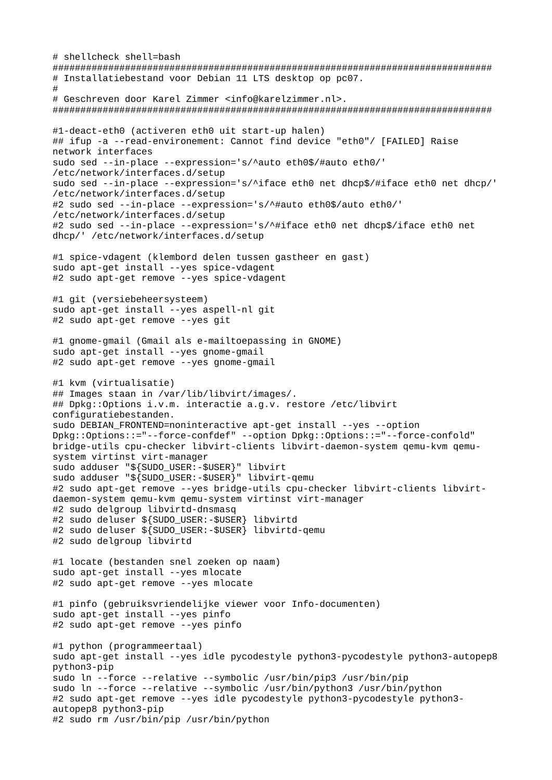# shellcheck shell=bash # Installatiebestand voor Debian 11 LTS desktop op pc07. # Geschreven door Karel Zimmer <info@karelzimmer.nl>. #1-deact-eth0 (activeren eth0 uit start-up halen) ## ifup -a --read-environement: Cannot find device "eth0"/ [FAILED] Raise network interfaces sudo sed --in-place --expression='s/^auto eth0\$/#auto eth0/' /etc/network/interfaces.d/setup sudo sed --in-place --expression='s/^iface eth0 net dhcp\$/#iface eth0 net dhcp/' /etc/network/interfaces.d/setup #2 sudo sed --in-place --expression='s/^#auto eth0\$/auto eth0/' /etc/network/interfaces.d/setup #2 sudo sed --in-place --expression='s/^#iface eth0 net dhcp\$/iface eth0 net dhcp/' /etc/network/interfaces.d/setup #1 spice-vdagent (klembord delen tussen gastheer en gast) sudo apt-get install --yes spice-vdagent #2 sudo apt-get remove --yes spice-vdagent #1 git (versiebeheersysteem) sudo apt-get install --yes aspell-nl git #2 sudo apt-get remove --yes git #1 gnome-gmail (Gmail als e-mailtoepassing in GNOME) sudo apt-get install --yes gnome-gmail #2 sudo apt-get remove --yes gnome-gmail #1 kvm (virtualisatie) ## Images staan in /var/lib/libvirt/images/. ## Dpkg::Options i.v.m. interactie a.g.v. restore /etc/libvirt configuratiebestanden. sudo DEBIAN\_FRONTEND=noninteractive apt-get install --yes --option Dpkg::Options::="--force-confdef" --option Dpkg::Options::="--force-confold" bridge-utils cpu-checker libvirt-clients libvirt-daemon-system qemu-kvm qemusystem virtinst virt-manager sudo adduser "\${SUDO\_USER:-\$USER}" libvirt sudo adduser "\${SUDO\_USER: -\$USER}" libvirt-gemu #2 sudo apt-get remove --yes bridge-utils cpu-checker libvirt-clients libvirtdaemon-system qemu-kvm qemu-system virtinst virt-manager #2 sudo delgroup libvirtd-dnsmasq #2 sudo deluser \${SUDO\_USER:-\$USER} libvirtd #2 sudo deluser \${SUDO\_USER:-\$USER} libvirtd-qemu #2 sudo delgroup libvirtd #1 locate (bestanden snel zoeken op naam) sudo apt-get install --yes mlocate #2 sudo apt-get remove --yes mlocate #1 pinfo (gebruiksvriendelijke viewer voor Info-documenten) sudo apt-get install --yes pinfo #2 sudo apt-get remove --yes pinfo #1 python (programmeertaal) sudo apt-get install --yes idle pycodestyle python3-pycodestyle python3-autopep8 python3-pip sudo ln --force --relative --symbolic /usr/bin/pip3 /usr/bin/pip sudo ln --force --relative --symbolic /usr/bin/python3 /usr/bin/python #2 sudo apt-get remove --yes idle pycodestyle python3-pycodestyle python3autopep8 python3-pip #2 sudo rm /usr/bin/pip /usr/bin/python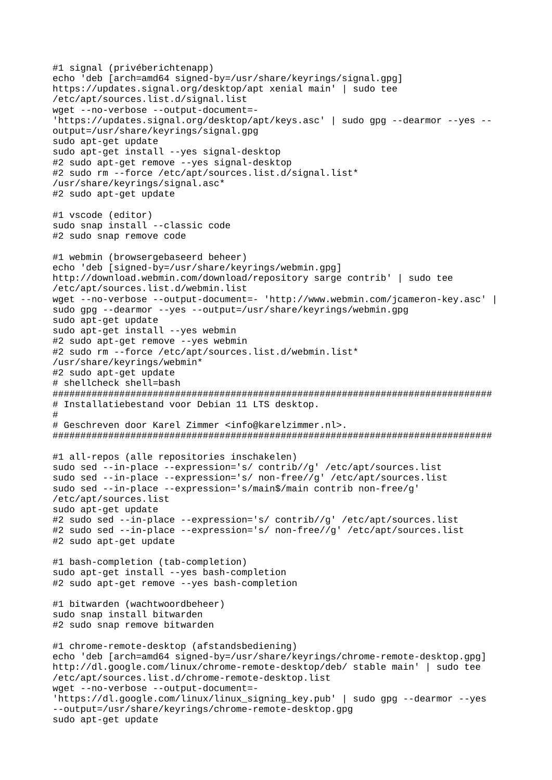```
#1 signal (privéberichtenapp)
echo 'deb [arch=amd64 signed-by=/usr/share/keyrings/signal.gpg] 
https://updates.signal.org/desktop/apt xenial main' | sudo tee 
/etc/apt/sources.list.d/signal.list
wget --no-verbose --output-document=- 
'https://updates.signal.org/desktop/apt/keys.asc' | sudo gpg --dearmor --yes --
output=/usr/share/keyrings/signal.gpg
sudo apt-get update
sudo apt-get install --yes signal-desktop
#2 sudo apt-get remove --yes signal-desktop
#2 sudo rm --force /etc/apt/sources.list.d/signal.list* 
/usr/share/keyrings/signal.asc*
#2 sudo apt-get update
#1 vscode (editor)
sudo snap install --classic code
#2 sudo snap remove code
#1 webmin (browsergebaseerd beheer)
echo 'deb [signed-by=/usr/share/keyrings/webmin.gpg] 
http://download.webmin.com/download/repository sarge contrib' | sudo tee 
/etc/apt/sources.list.d/webmin.list
wget --no-verbose --output-document=- 'http://www.webmin.com/jcameron-key.asc' |
sudo gpg --dearmor --yes --output=/usr/share/keyrings/webmin.gpg
sudo apt-get update
sudo apt-get install --yes webmin
#2 sudo apt-get remove --yes webmin
#2 sudo rm --force /etc/apt/sources.list.d/webmin.list* 
/usr/share/keyrings/webmin*
#2 sudo apt-get update
# shellcheck shell=bash
###############################################################################
# Installatiebestand voor Debian 11 LTS desktop.
#
# Geschreven door Karel Zimmer <info@karelzimmer.nl>.
###############################################################################
#1 all-repos (alle repositories inschakelen)
sudo sed --in-place --expression='s/ contrib//g' /etc/apt/sources.list
sudo sed --in-place --expression='s/ non-free//g' /etc/apt/sources.list
sudo sed --in-place --expression='s/main$/main contrib non-free/g' 
/etc/apt/sources.list
sudo apt-get update
#2 sudo sed --in-place --expression='s/ contrib//g' /etc/apt/sources.list
#2 sudo sed --in-place --expression='s/ non-free//g' /etc/apt/sources.list
#2 sudo apt-get update
#1 bash-completion (tab-completion)
sudo apt-get install --yes bash-completion
#2 sudo apt-get remove --yes bash-completion
#1 bitwarden (wachtwoordbeheer)
sudo snap install bitwarden
#2 sudo snap remove bitwarden
#1 chrome-remote-desktop (afstandsbediening)
echo 'deb [arch=amd64 signed-by=/usr/share/keyrings/chrome-remote-desktop.gpg] 
http://dl.google.com/linux/chrome-remote-desktop/deb/ stable main' | sudo tee 
/etc/apt/sources.list.d/chrome-remote-desktop.list
wget --no-verbose --output-document=- 
'https://dl.google.com/linux/linux_signing_key.pub' | sudo gpg --dearmor --yes 
--output=/usr/share/keyrings/chrome-remote-desktop.gpg
sudo apt-get update
```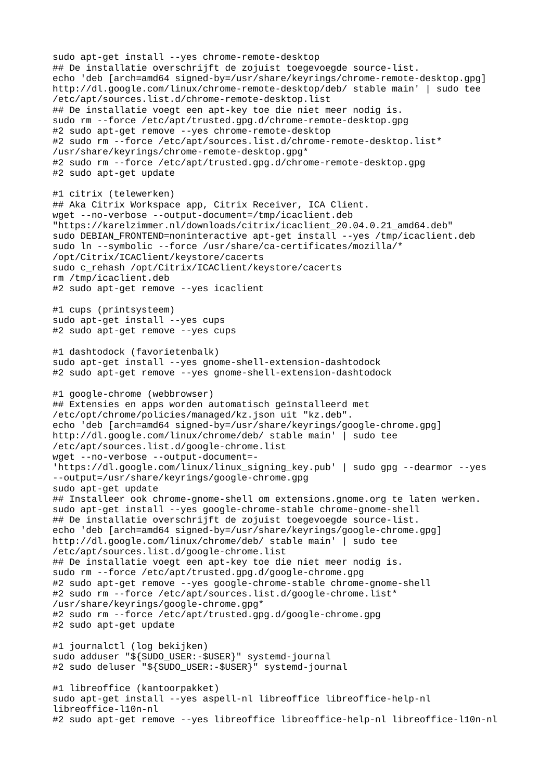sudo apt-get install --yes chrome-remote-desktop ## De installatie overschrijft de zojuist toegevoegde source-list. echo 'deb [arch=amd64 signed-by=/usr/share/keyrings/chrome-remote-desktop.gpg] http://dl.google.com/linux/chrome-remote-desktop/deb/ stable main' | sudo tee /etc/apt/sources.list.d/chrome-remote-desktop.list ## De installatie voegt een apt-key toe die niet meer nodig is. sudo rm --force /etc/apt/trusted.gpg.d/chrome-remote-desktop.gpg #2 sudo apt-get remove --yes chrome-remote-desktop #2 sudo rm --force /etc/apt/sources.list.d/chrome-remote-desktop.list\* /usr/share/keyrings/chrome-remote-desktop.gpg\* #2 sudo rm --force /etc/apt/trusted.gpg.d/chrome-remote-desktop.gpg #2 sudo apt-get update #1 citrix (telewerken) ## Aka Citrix Workspace app, Citrix Receiver, ICA Client. wget --no-verbose --output-document=/tmp/icaclient.deb "https://karelzimmer.nl/downloads/citrix/icaclient\_20.04.0.21\_amd64.deb" sudo DEBIAN\_FRONTEND=noninteractive apt-get install --yes /tmp/icaclient.deb sudo ln --symbolic --force /usr/share/ca-certificates/mozilla/\* /opt/Citrix/ICAClient/keystore/cacerts sudo c\_rehash /opt/Citrix/ICAClient/keystore/cacerts rm /tmp/icaclient.deb #2 sudo apt-get remove --yes icaclient #1 cups (printsysteem) sudo apt-get install --ves cups #2 sudo apt-get remove --yes cups #1 dashtodock (favorietenbalk) sudo apt-get install --yes gnome-shell-extension-dashtodock #2 sudo apt-get remove --yes gnome-shell-extension-dashtodock #1 google-chrome (webbrowser) ## Extensies en apps worden automatisch geïnstalleerd met /etc/opt/chrome/policies/managed/kz.json uit "kz.deb". echo 'deb [arch=amd64 signed-by=/usr/share/keyrings/google-chrome.gpg] http://dl.google.com/linux/chrome/deb/ stable main' | sudo tee /etc/apt/sources.list.d/google-chrome.list wget --no-verbose --output-document=- 'https://dl.google.com/linux/linux\_signing\_key.pub' | sudo gpg --dearmor --yes --output=/usr/share/keyrings/google-chrome.gpg sudo apt-get update ## Installeer ook chrome-gnome-shell om extensions.gnome.org te laten werken. sudo apt-get install --yes google-chrome-stable chrome-gnome-shell ## De installatie overschrijft de zojuist toegevoegde source-list. echo 'deb [arch=amd64 signed-by=/usr/share/keyrings/google-chrome.gpg] http://dl.google.com/linux/chrome/deb/ stable main' | sudo tee /etc/apt/sources.list.d/google-chrome.list ## De installatie voegt een apt-key toe die niet meer nodig is. sudo rm --force /etc/apt/trusted.gpg.d/google-chrome.gpg #2 sudo apt-get remove --yes google-chrome-stable chrome-gnome-shell #2 sudo rm --force /etc/apt/sources.list.d/google-chrome.list\* /usr/share/keyrings/google-chrome.gpg\* #2 sudo rm --force /etc/apt/trusted.gpg.d/google-chrome.gpg #2 sudo apt-get update #1 journalctl (log bekijken) sudo adduser "\${SUDO\_USER:-\$USER}" systemd-journal #2 sudo deluser "\${SUDO\_USER:-\$USER}" systemd-journal #1 libreoffice (kantoorpakket) sudo apt-get install --yes aspell-nl libreoffice libreoffice-help-nl libreoffice-l10n-nl #2 sudo apt-get remove --yes libreoffice libreoffice-help-nl libreoffice-l10n-nl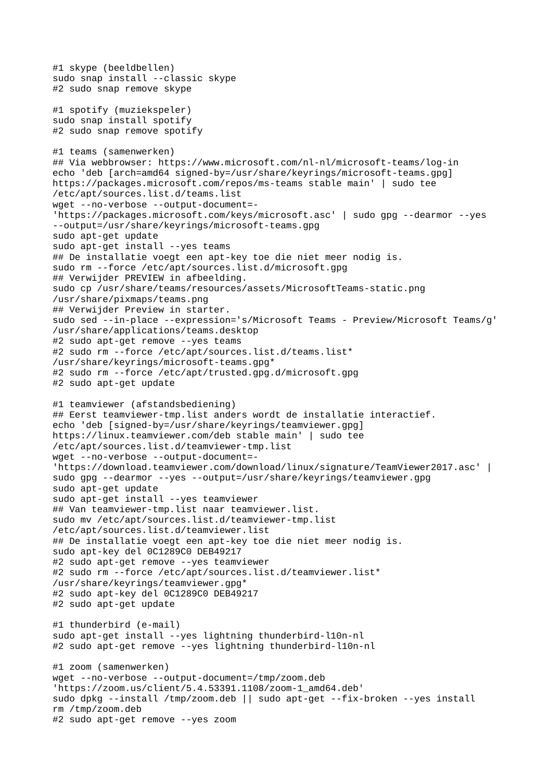```
#1 skype (beeldbellen)
sudo snap install --classic skype
#2 sudo snap remove skype
#1 spotify (muziekspeler)
sudo snap install spotify
#2 sudo snap remove spotify
#1 teams (samenwerken)
## Via webbrowser: https://www.microsoft.com/nl-nl/microsoft-teams/log-in
echo 'deb [arch=amd64 signed-by=/usr/share/keyrings/microsoft-teams.gpg] 
https://packages.microsoft.com/repos/ms-teams stable main' | sudo tee 
/etc/apt/sources.list.d/teams.list
wget --no-verbose --output-document=- 
'https://packages.microsoft.com/keys/microsoft.asc' | sudo gpg --dearmor --yes 
--output=/usr/share/keyrings/microsoft-teams.gpg
sudo apt-get update
sudo apt-get install --yes teams
## De installatie voegt een apt-key toe die niet meer nodig is.
sudo rm --force /etc/apt/sources.list.d/microsoft.gpg
## Verwijder PREVIEW in afbeelding.
sudo cp /usr/share/teams/resources/assets/MicrosoftTeams-static.png 
/usr/share/pixmaps/teams.png
## Verwijder Preview in starter.
sudo sed --in-place --expression='s/Microsoft Teams - Preview/Microsoft Teams/g'
/usr/share/applications/teams.desktop
#2 sudo apt-get remove --yes teams
#2 sudo rm --force /etc/apt/sources.list.d/teams.list* 
/usr/share/keyrings/microsoft-teams.gpg*
#2 sudo rm --force /etc/apt/trusted.gpg.d/microsoft.gpg
#2 sudo apt-get update
#1 teamviewer (afstandsbediening)
## Eerst teamviewer-tmp.list anders wordt de installatie interactief.
echo 'deb [signed-by=/usr/share/keyrings/teamviewer.gpg] 
https://linux.teamviewer.com/deb stable main' | sudo tee 
/etc/apt/sources.list.d/teamviewer-tmp.list
wget --no-verbose --output-document=- 
'https://download.teamviewer.com/download/linux/signature/TeamViewer2017.asc' |
sudo gpg --dearmor --yes --output=/usr/share/keyrings/teamviewer.gpg
sudo apt-get update
sudo apt-get install --yes teamviewer
## Van teamviewer-tmp.list naar teamviewer.list.
sudo mv /etc/apt/sources.list.d/teamviewer-tmp.list 
/etc/apt/sources.list.d/teamviewer.list
## De installatie voegt een apt-key toe die niet meer nodig is.
sudo apt-key del 0C1289C0 DEB49217
#2 sudo apt-get remove --yes teamviewer
#2 sudo rm --force /etc/apt/sources.list.d/teamviewer.list* 
/usr/share/keyrings/teamviewer.gpg*
#2 sudo apt-key del 0C1289C0 DEB49217
#2 sudo apt-get update
#1 thunderbird (e-mail)
sudo apt-get install --yes lightning thunderbird-l10n-nl
#2 sudo apt-get remove --yes lightning thunderbird-l10n-nl
#1 zoom (samenwerken)
wget --no-verbose --output-document=/tmp/zoom.deb 
'https://zoom.us/client/5.4.53391.1108/zoom-1_amd64.deb'
sudo dpkg --install /tmp/zoom.deb || sudo apt-get --fix-broken --yes install
rm /tmp/zoom.deb
#2 sudo apt-get remove --yes zoom
```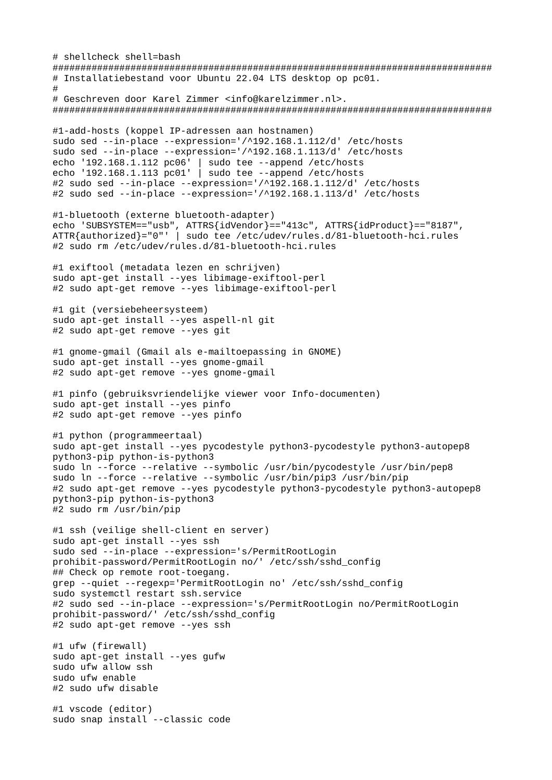# shellcheck shell=bash # Installatiebestand voor Ubuntu 22.04 LTS desktop op pc01.  $#$ # Geschreven door Karel Zimmer <info@karelzimmer.nl>. #1-add-hosts (koppel IP-adressen aan hostnamen) sudo sed --in-place --expression='/^192.168.1.112/d' /etc/hosts sudo sed --in-place --expression='/^192.168.1.113/d' /etc/hosts echo '192.168.1.112 pc06' | sudo tee --append /etc/hosts echo '192.168.1.113 pc01' | sudo tee --append /etc/hosts #2 sudo sed --in-place --expression='/^192.168.1.112/d' /etc/hosts #2 sudo sed --in-place --expression='/^192.168.1.113/d' /etc/hosts #1-bluetooth (externe bluetooth-adapter) echo 'SUBSYSTEM=="usb", ATTRS{idVendor}=="413c", ATTRS{idProduct}=="8187",<br>ATTR{authorized}="0"' | sudo tee /etc/udev/rules.d/81-bluetooth-hci.rules #2 sudo rm /etc/udev/rules.d/81-bluetooth-hci.rules #1 exiftool (metadata lezen en schrijven) sudo apt-get install --yes libimage-exiftool-perl #2 sudo apt-get remove --yes libimage-exiftool-perl #1 qit (versiebeheersysteem) sudo apt-get install --ves aspell-nl git #2 sudo apt-get remove --yes git #1 gnome-gmail (Gmail als e-mailtoepassing in GNOME) sudo apt-get install -- yes gnome-gmail #2 sudo apt-get remove --yes gnome-gmail #1 pinfo (gebruiksvriendelijke viewer voor Info-documenten) sudo apt-get install --yes pinfo #2 sudo apt-get remove --yes pinfo #1 python (programmeertaal) sudo apt-get install --yes pycodestyle python3-pycodestyle python3-autopep8 python3-pip python-is-python3 sudo ln --force --relative --symbolic /usr/bin/pycodestyle /usr/bin/pep8 sudo ln --force --relative --symbolic /usr/bin/pip3 /usr/bin/pip #2 sudo apt-get remove --yes pycodestyle python3-pycodestyle python3-autopep8 python3-pip python-is-python3 #2 sudo rm /usr/bin/pip #1 ssh (veilige shell-client en server) sudo apt-get install --yes ssh sudo sed --in-place --expression='s/PermitRootLogin prohibit-password/PermitRootLogin no/' /etc/ssh/sshd\_config ## Check op remote root-toegang. grep --quiet --regexp='PermitRootLogin no' /etc/ssh/sshd\_config sudo systemctl restart ssh.service #2 sudo sed --in-place --expression='s/PermitRootLogin no/PermitRootLogin prohibit-password/' /etc/ssh/sshd\_config #2 sudo apt-get remove --yes ssh #1 ufw (firewall) sudo apt-get install --yes gufw sudo ufw allow ssh sudo ufw enable #2 sudo ufw disable #1 vscode (editor) sudo snap install --classic code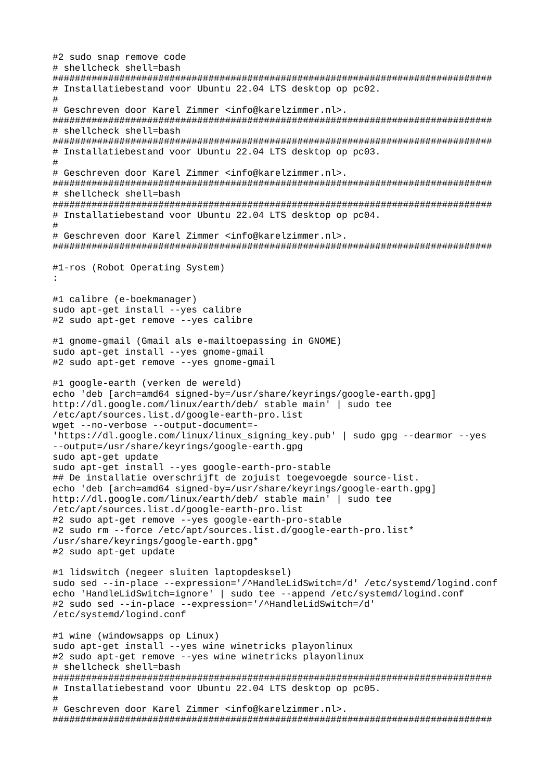```
#2 sudo snap remove code
# shellcheck shell=bash
# Installatiebestand voor Ubuntu 22.04 LTS desktop op pc02.
# Geschreven door Karel Zimmer <info@karelzimmer.nl>.
# shellcheck shell=bash
# Installatiebestand voor Ubuntu 22.04 LTS desktop op pc03.
## Geschreven door Karel Zimmer <info@karelzimmer.nl>.
# shellcheck shell=bash
# Installatiebestand voor Ubuntu 22.04 LTS desktop op pc04.
## Geschreven door Karel Zimmer <info@karelzimmer.nl>.
#1-ros (Robot Operating System)
\mathbf{r}#1 calibre (e-boekmanager)
sudo apt-get install --yes calibre
#2 sudo apt-get remove -- ves calibre
#1 gnome-gmail (Gmail als e-mailtoepassing in GNOME)
sudo apt-get install --yes gnome-gmail
#2 sudo apt-get remove --yes gnome-qmail
#1 google-earth (verken de wereld)
echo 'deb [arch=amd64 signed-by=/usr/share/keyrings/google-earth.gpg]
http://dl.google.com/linux/earth/deb/ stable main' I sudo tee
/etc/apt/sources.list.d/google-earth-pro.list
wget --no-verbose --output-document=-
'https://dl.google.com/linux/linux_signing_key.pub' | sudo gpg --dearmor --yes
--output=/usr/share/keyrings/google-earth.gpg
sudo apt-get update
sudo apt-get install --yes google-earth-pro-stable
## De installatie overschrijft de zojuist toegevoegde source-list.
echo 'deb [arch=amd64 signed-by=/usr/share/keyrings/google-earth.gpg]
http://dl.google.com/linux/earth/deb/ stable main' | sudo tee
/etc/apt/sources.list.d/google-earth-pro.list
#2 sudo apt-get remove --yes google-earth-pro-stable
#2 sudo rm --force /etc/apt/sources.list.d/google-earth-pro.list*
/usr/share/keyrings/google-earth.gpg*
#2 sudo apt-get update
#1 lidswitch (negeer sluiten laptopdesksel)
sudo sed --in-place --expression='/^HandleLidSwitch=/d' /etc/systemd/logind.conf
echo 'HandleLidSwitch=ignore' | sudo tee --append /etc/systemd/logind.conf
#2 sudo sed --in-place --expression='/^HandleLidSwitch=/d'
/etc/systemd/logind.conf
#1 wine (windowsapps op Linux)
sudo apt-get install --yes wine winetricks playonlinux
#2 sudo apt-get remove --yes wine winetricks playonlinux
# shellcheck shell=bash
# Installatiebestand voor Ubuntu 22.04 LTS desktop op pc05.
## Geschreven door Karel Zimmer <info@karelzimmer.nl>.
```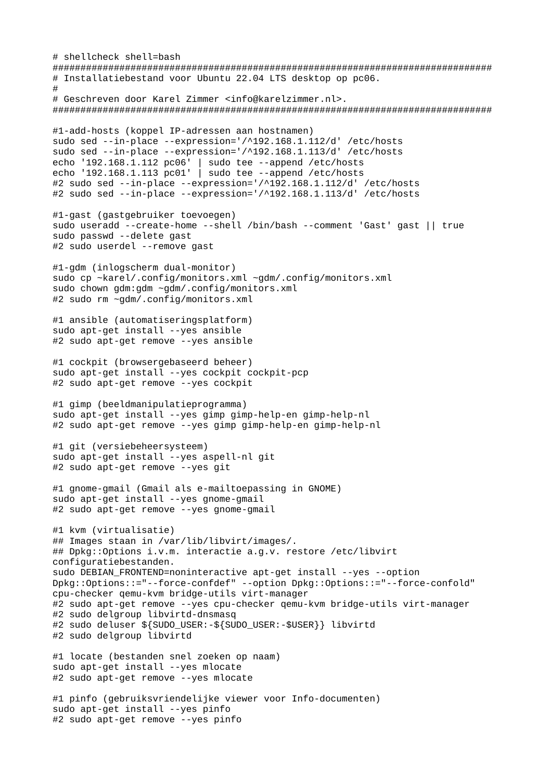# shellcheck shell=bash ############################################################################### # Installatiebestand voor Ubuntu 22.04 LTS desktop op pc06. # # Geschreven door Karel Zimmer <info@karelzimmer.nl>. ############################################################################### #1-add-hosts (koppel IP-adressen aan hostnamen) sudo sed --in-place --expression='/^192.168.1.112/d' /etc/hosts sudo sed --in-place --expression='/^192.168.1.113/d' /etc/hosts echo '192.168.1.112 pc06' | sudo tee --append /etc/hosts echo '192.168.1.113 pc01' | sudo tee --append /etc/hosts #2 sudo sed --in-place --expression='/^192.168.1.112/d' /etc/hosts #2 sudo sed --in-place --expression='/^192.168.1.113/d' /etc/hosts #1-gast (gastgebruiker toevoegen) sudo useradd --create-home --shell /bin/bash --comment 'Gast' gast || true sudo passwd --delete gast #2 sudo userdel --remove gast #1-gdm (inlogscherm dual-monitor) sudo cp ~karel/.config/monitors.xml ~gdm/.config/monitors.xml sudo chown gdm:gdm ~gdm/.config/monitors.xml #2 sudo rm ~gdm/.config/monitors.xml #1 ansible (automatiseringsplatform) sudo apt-get install --yes ansible #2 sudo apt-get remove --yes ansible #1 cockpit (browsergebaseerd beheer) sudo apt-get install --yes cockpit cockpit-pcp #2 sudo apt-get remove --yes cockpit #1 gimp (beeldmanipulatieprogramma) sudo apt-get install --yes gimp gimp-help-en gimp-help-nl #2 sudo apt-get remove --yes gimp gimp-help-en gimp-help-nl #1 git (versiebeheersysteem) sudo apt-get install --yes aspell-nl git #2 sudo apt-get remove --yes git #1 gnome-gmail (Gmail als e-mailtoepassing in GNOME) sudo apt-get install --yes gnome-gmail #2 sudo apt-get remove --yes gnome-gmail #1 kvm (virtualisatie) ## Images staan in /var/lib/libvirt/images/. ## Dpkg::Options i.v.m. interactie a.g.v. restore /etc/libvirt configuratiebestanden. sudo DEBIAN\_FRONTEND=noninteractive apt-get install --yes --option Dpkg::Options::="--force-confdef" --option Dpkg::Options::="--force-confold" cpu-checker qemu-kvm bridge-utils virt-manager #2 sudo apt-get remove --yes cpu-checker qemu-kvm bridge-utils virt-manager #2 sudo delgroup libvirtd-dnsmasq #2 sudo deluser \${SUDO\_USER:-\${SUDO\_USER:-\$USER}} libvirtd #2 sudo delgroup libvirtd #1 locate (bestanden snel zoeken op naam) sudo apt-get install --yes mlocate #2 sudo apt-get remove --yes mlocate #1 pinfo (gebruiksvriendelijke viewer voor Info-documenten) sudo apt-get install --yes pinfo

#2 sudo apt-get remove --yes pinfo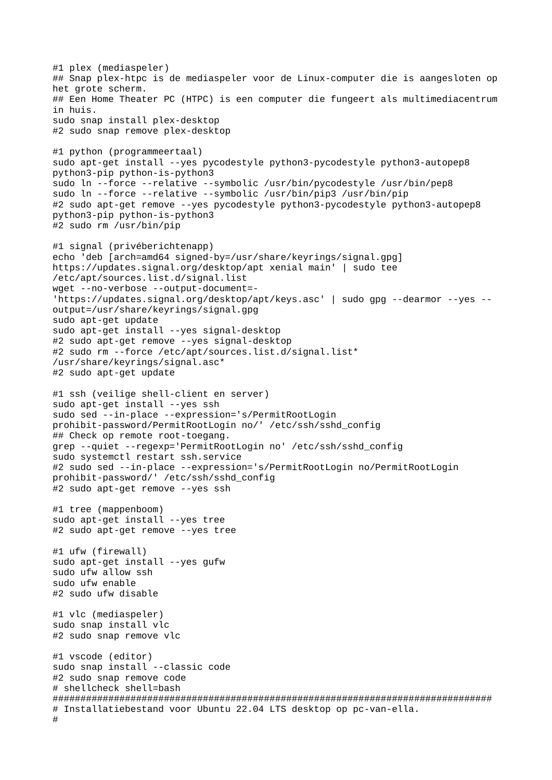#1 plex (mediaspeler) ## Snap plex-htpc is de mediaspeler voor de Linux-computer die is aangesloten op het grote scherm. ## Een Home Theater PC (HTPC) is een computer die fungeert als multimediacentrum in huis. sudo snap install plex-desktop #2 sudo snap remove plex-desktop #1 python (programmeertaal) sudo apt-get install --yes pycodestyle python3-pycodestyle python3-autopep8 python3-pip python-is-python3 sudo ln --force --relative --symbolic /usr/bin/pycodestyle /usr/bin/pep8 sudo ln --force --relative --symbolic /usr/bin/pip3 /usr/bin/pip #2 sudo apt-get remove --yes pycodestyle python3-pycodestyle python3-autopep8 python3-pip python-is-python3 #2 sudo rm /usr/bin/pip #1 signal (privéberichtenapp) echo 'deb [arch=amd64 signed-by=/usr/share/keyrings/signal.gpg] https://updates.signal.org/desktop/apt xenial main' | sudo tee /etc/apt/sources.list.d/signal.list wget --no-verbose --output-document=- 'https://updates.signal.org/desktop/apt/keys.asc' | sudo gpg --dearmor --yes - output=/usr/share/keyrings/signal.gpg sudo apt-get update sudo apt-get install --yes signal-desktop #2 sudo apt-get remove --yes signal-desktop #2 sudo rm --force /etc/apt/sources.list.d/signal.list\* /usr/share/keyrings/signal.asc\* #2 sudo apt-get update #1 ssh (veilige shell-client en server) sudo apt-get install --yes ssh sudo sed --in-place --expression='s/PermitRootLogin prohibit-password/PermitRootLogin no/' /etc/ssh/sshd\_config ## Check op remote root-toegang. grep --quiet --regexp='PermitRootLogin no' /etc/ssh/sshd\_config sudo systemctl restart ssh.service #2 sudo sed --in-place --expression='s/PermitRootLogin no/PermitRootLogin prohibit-password/' /etc/ssh/sshd\_config #2 sudo apt-get remove --yes ssh #1 tree (mappenboom) sudo apt-get install --yes tree #2 sudo apt-get remove --yes tree #1 ufw (firewall) sudo apt-get install --yes gufw sudo ufw allow ssh sudo ufw enable #2 sudo ufw disable #1 vlc (mediaspeler) sudo snap install vlc #2 sudo snap remove vlc #1 vscode (editor) sudo snap install --classic code #2 sudo snap remove code # shellcheck shell=bash ############################################################################### # Installatiebestand voor Ubuntu 22.04 LTS desktop op pc-van-ella. #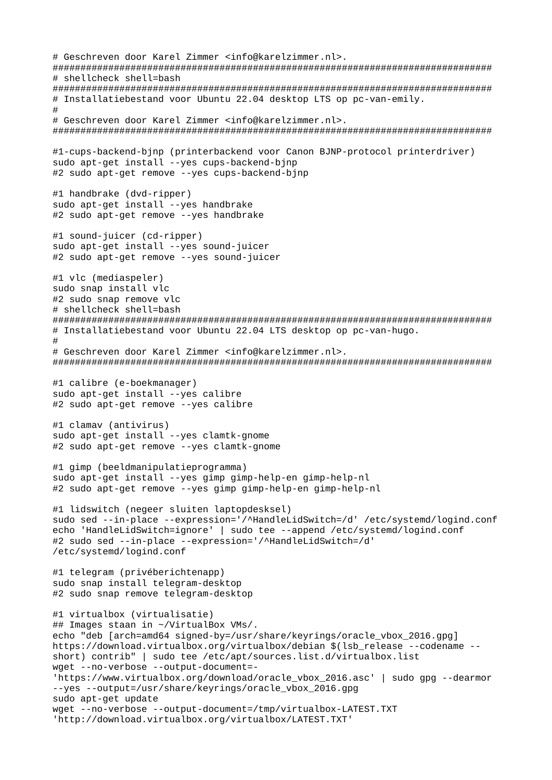```
# Geschreven door Karel Zimmer <info@karelzimmer.nl>.
###############################################################################
# shellcheck shell=bash
###############################################################################
# Installatiebestand voor Ubuntu 22.04 desktop LTS op pc-van-emily.
## Geschreven door Karel Zimmer <info@karelzimmer.nl>.
###############################################################################
#1-cups-backend-bjnp (printerbackend voor Canon BJNP-protocol printerdriver)
sudo apt-get install --yes cups-backend-bjnp
#2 sudo apt-get remove --yes cups-backend-bjnp
#1 handbrake (dvd-ripper)
sudo apt-get install --yes handbrake
#2 sudo apt-get remove --yes handbrake
#1 sound-juicer (cd-ripper)
sudo apt-get install --yes sound-juicer
#2 sudo apt-get remove --yes sound-juicer
#1 vlc (mediaspeler)
sudo snap install vlc
#2 sudo snap remove vlc
# shellcheck shell=bash
###############################################################################
# Installatiebestand voor Ubuntu 22.04 LTS desktop op pc-van-hugo.
#
# Geschreven door Karel Zimmer <info@karelzimmer.nl>.
###############################################################################
#1 calibre (e-boekmanager)
sudo apt-get install --yes calibre
#2 sudo apt-get remove --yes calibre
#1 clamav (antivirus)
sudo apt-get install --yes clamtk-gnome
#2 sudo apt-get remove --yes clamtk-gnome
#1 gimp (beeldmanipulatieprogramma)
sudo apt-get install --yes gimp gimp-help-en gimp-help-nl
#2 sudo apt-get remove --yes gimp gimp-help-en gimp-help-nl
#1 lidswitch (negeer sluiten laptopdesksel)
sudo sed --in-place --expression='/^HandleLidSwitch=/d' /etc/systemd/logind.conf
echo 'HandleLidSwitch=ignore' | sudo tee --append /etc/systemd/logind.conf
#2 sudo sed --in-place --expression='/^HandleLidSwitch=/d' 
/etc/systemd/logind.conf
#1 telegram (privéberichtenapp)
sudo snap install telegram-desktop
#2 sudo snap remove telegram-desktop
#1 virtualbox (virtualisatie)
## Images staan in ~/VirtualBox VMs/.
echo "deb [arch=amd64 signed-by=/usr/share/keyrings/oracle_vbox_2016.gpg] 
https://download.virtualbox.org/virtualbox/debian $(lsb_release --codename --
short) contrib" | sudo tee /etc/apt/sources.list.d/virtualbox.list
wget --no-verbose --output-document=- 
'https://www.virtualbox.org/download/oracle_vbox_2016.asc' | sudo gpg --dearmor 
--yes --output=/usr/share/keyrings/oracle_vbox_2016.gpg
sudo apt-get update
wget --no-verbose --output-document=/tmp/virtualbox-LATEST.TXT 
'http://download.virtualbox.org/virtualbox/LATEST.TXT'
```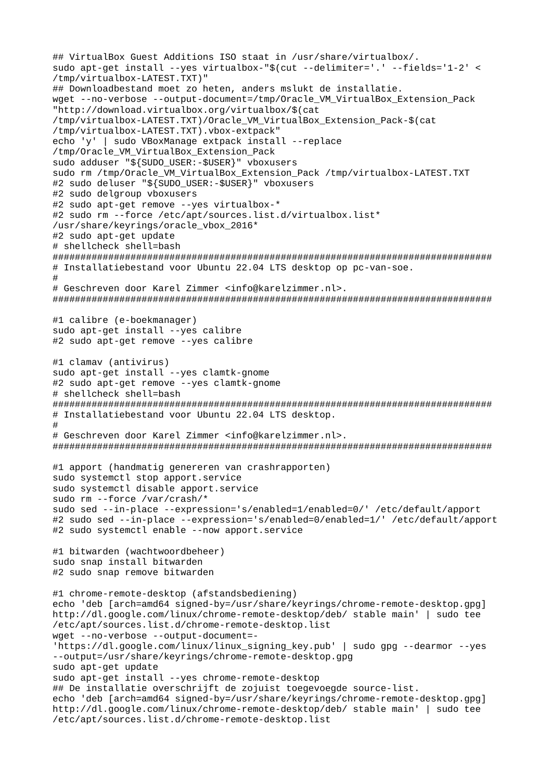## VirtualBox Guest Additions ISO staat in /usr/share/virtualbox/. sudo apt-get install --yes virtualbox-"\$(cut --delimiter='.' --fields='1-2' < /tmp/virtualbox-LATEST.TXT)" ## Downloadbestand moet zo heten, anders mslukt de installatie. wget --no-verbose --output-document=/tmp/0racle VM VirtualBox Extension Pack "http://download.virtualbox.org/virtualbox/\$(cat /tmp/virtualbox-LATEST.TXT)/Oracle\_VM\_VirtualBox\_Extension\_Pack-\$(cat /tmp/virtualbox-LATEST.TXT).vbox-extpack" echo 'y' | sudo VBoxManage extpack install --replace /tmp/0racle\_VM\_VirtualBox\_Extension\_Pack sudo adduser "\${SUDO\_USER:-\$USER}" vboxusers sudo rm /tmp/Oracle VM\_VirtualBox\_Extension\_Pack /tmp/virtualbox-LATEST.TXT #2 sudo deluser "\${SUDO\_USER:-\$USER}" vboxusers #2 sudo delgroup vboxusers #2 sudo apt-get remove --yes virtualbox-\* #2 sudo rm --force /etc/apt/sources.list.d/virtualbox.list\* /usr/share/keyrings/oracle\_vbox\_2016\* #2 sudo apt-get update # shellcheck shell=bash # Installatiebestand voor Ubuntu 22.04 LTS desktop op pc-van-soe.  $#$ # Geschreven door Karel Zimmer <info@karelzimmer.nl>. #1 calibre (e-boekmanager) sudo apt-get install --ves calibre #2 sudo apt-get remove --yes calibre #1 clamav (antivirus) sudo apt-get install --yes clamtk-gnome #2 sudo apt-get remove --yes clamtk-gnome # shellcheck shell=bash # Installatiebestand voor Ubuntu 22.04 LTS desktop.  $#$ # Geschreven door Karel Zimmer <info@karelzimmer.nl>. #1 apport (handmatig genereren van crashrapporten) sudo systemctl stop apport.service sudo systemctl disable apport.service sudo rm --force /var/crash/\* sudo sed --in-place --expression='s/enabled=1/enabled=0/' /etc/default/apport #2 sudo sed --in-place --expression='s/enabled=0/enabled=1/' /etc/default/apport #2 sudo systemctl enable --now apport.service #1 bitwarden (wachtwoordbeheer) sudo snap install bitwarden #2 sudo snap remove bitwarden #1 chrome-remote-desktop (afstandsbediening) echo 'deb [arch=amd64 signed-by=/usr/share/keyrings/chrome-remote-desktop.gpg] http://dl.google.com/linux/chrome-remote-desktop/deb/ stable main' | sudo tee /etc/apt/sources.list.d/chrome-remote-desktop.list wget -- no-verbose -- output-document =-'https://dl.google.com/linux/linux\_signing\_key.pub' | sudo gpg --dearmor --yes --output=/usr/share/keyrings/chrome-remote-desktop.gpg sudo apt-get update sudo apt-get install --yes chrome-remote-desktop ## De installatie overschrijft de zojuist toegevoegde source-list. echo 'deb [arch=amd64 signed-by=/usr/share/keyrings/chrome-remote-desktop.gpg] http://dl.google.com/linux/chrome-remote-desktop/deb/ stable main' | sudo tee /etc/apt/sources.list.d/chrome-remote-desktop.list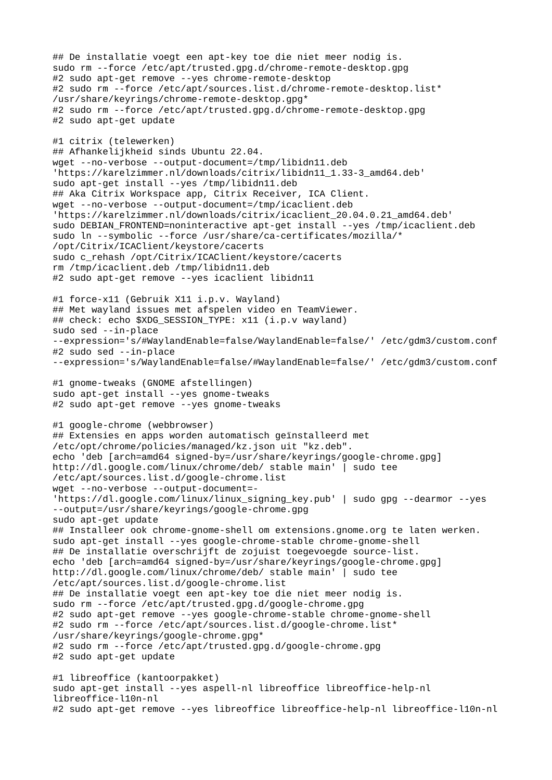## De installatie voegt een apt-key toe die niet meer nodig is. sudo rm --force /etc/apt/trusted.gpg.d/chrome-remote-desktop.gpg #2 sudo apt-get remove --yes chrome-remote-desktop #2 sudo rm --force /etc/apt/sources.list.d/chrome-remote-desktop.list\* /usr/share/keyrings/chrome-remote-desktop.gpg\* #2 sudo rm --force /etc/apt/trusted.gpg.d/chrome-remote-desktop.gpg #2 sudo apt-get update #1 citrix (telewerken) ## Afhankelijkheid sinds Ubuntu 22.04. wget --no-verbose --output-document=/tmp/libidn11.deb 'https://karelzimmer.nl/downloads/citrix/libidn11\_1.33-3\_amd64.deb' sudo apt-get install --yes /tmp/libidn11.deb ## Aka Citrix Workspace app, Citrix Receiver, ICA Client. wget --no-verbose --output-document=/tmp/icaclient.deb 'https://karelzimmer.nl/downloads/citrix/icaclient\_20.04.0.21\_amd64.deb' sudo DEBIAN\_FRONTEND=noninteractive apt-get install --yes /tmp/icaclient.deb sudo ln --symbolic --force /usr/share/ca-certificates/mozilla/\* /opt/Citrix/ICAClient/keystore/cacerts sudo c\_rehash /opt/Citrix/ICAClient/keystore/cacerts rm /tmp/icaclient.deb /tmp/libidn11.deb #2 sudo apt-get remove --yes icaclient libidn11 #1 force-x11 (Gebruik X11 i.p.v. Wayland) ## Met wayland issues met afspelen video en TeamViewer. ## check: echo \$XDG\_SESSION\_TYPE: x11 (i.p.v wayland) sudo sed --in-place --expression='s/#WaylandEnable=false/WaylandEnable=false/' /etc/gdm3/custom.conf #2 sudo sed --in-place --expression='s/WaylandEnable=false/#WaylandEnable=false/' /etc/gdm3/custom.conf #1 gnome-tweaks (GNOME afstellingen) sudo apt-get install --yes gnome-tweaks #2 sudo apt-get remove --yes gnome-tweaks #1 google-chrome (webbrowser) ## Extensies en apps worden automatisch geïnstalleerd met /etc/opt/chrome/policies/managed/kz.json uit "kz.deb". echo 'deb [arch=amd64 signed-by=/usr/share/keyrings/google-chrome.gpg] http://dl.google.com/linux/chrome/deb/ stable main' | sudo tee /etc/apt/sources.list.d/google-chrome.list wget --no-verbose --output-document=- 'https://dl.google.com/linux/linux\_signing\_key.pub' | sudo gpg --dearmor --yes --output=/usr/share/keyrings/google-chrome.gpg sudo apt-get update ## Installeer ook chrome-gnome-shell om extensions.gnome.org te laten werken. sudo apt-get install --yes google-chrome-stable chrome-gnome-shell ## De installatie overschrijft de zojuist toegevoegde source-list. echo 'deb [arch=amd64 signed-by=/usr/share/keyrings/google-chrome.gpg] http://dl.google.com/linux/chrome/deb/ stable main' | sudo tee /etc/apt/sources.list.d/google-chrome.list ## De installatie voegt een apt-key toe die niet meer nodig is. sudo rm --force /etc/apt/trusted.gpg.d/google-chrome.gpg #2 sudo apt-get remove --yes google-chrome-stable chrome-gnome-shell #2 sudo rm --force /etc/apt/sources.list.d/google-chrome.list\* /usr/share/keyrings/google-chrome.gpg\* #2 sudo rm --force /etc/apt/trusted.gpg.d/google-chrome.gpg #2 sudo apt-get update #1 libreoffice (kantoorpakket) sudo apt-get install --yes aspell-nl libreoffice libreoffice-help-nl libreoffice-l10n-nl

#2 sudo apt-get remove --yes libreoffice libreoffice-help-nl libreoffice-l10n-nl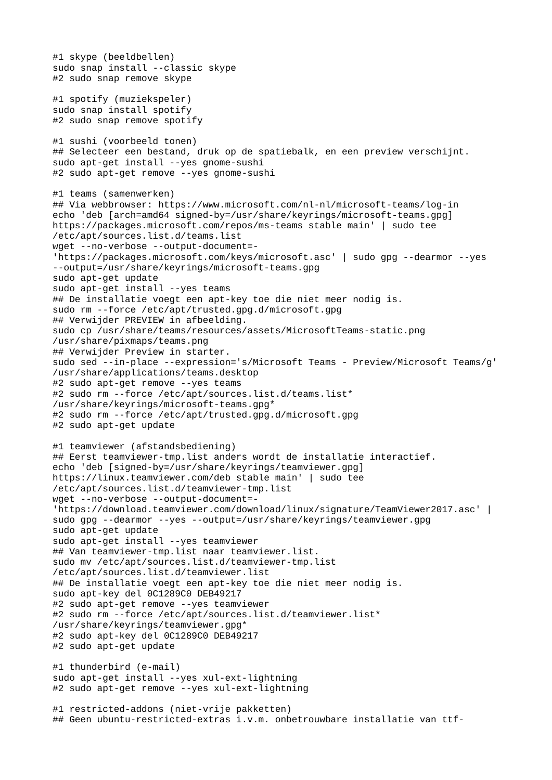```
#1 skype (beeldbellen)
sudo snap install --classic skype
#2 sudo snap remove skype
#1 spotify (muziekspeler)
sudo snap install spotify
#2 sudo snap remove spotify
#1 sushi (voorbeeld tonen)
## Selecteer een bestand, druk op de spatiebalk, en een preview verschijnt.
sudo apt-get install --yes gnome-sushi
#2 sudo apt-get remove --yes gnome-sushi
#1 teams (samenwerken)
## Via webbrowser: https://www.microsoft.com/nl-nl/microsoft-teams/log-in
echo 'deb [arch=amd64 signed-by=/usr/share/keyrings/microsoft-teams.gpg] 
https://packages.microsoft.com/repos/ms-teams stable main' | sudo tee 
/etc/apt/sources.list.d/teams.list
wget --no-verbose --output-document=- 
'https://packages.microsoft.com/keys/microsoft.asc' | sudo gpg --dearmor --yes 
--output=/usr/share/keyrings/microsoft-teams.gpg
sudo apt-get update
sudo apt-get install --yes teams
## De installatie voegt een apt-key toe die niet meer nodig is.
sudo rm --force /etc/apt/trusted.gpg.d/microsoft.gpg
## Verwijder PREVIEW in afbeelding.
sudo cp /usr/share/teams/resources/assets/MicrosoftTeams-static.png
/usr/share/pixmaps/teams.png
## Verwijder Preview in starter.
sudo sed --in-place --expression='s/Microsoft Teams - Preview/Microsoft Teams/g'
/usr/share/applications/teams.desktop
#2 sudo apt-get remove --yes teams
#2 sudo rm --force /etc/apt/sources.list.d/teams.list* 
/usr/share/keyrings/microsoft-teams.gpg*
#2 sudo rm --force /etc/apt/trusted.gpg.d/microsoft.gpg
#2 sudo apt-get update
#1 teamviewer (afstandsbediening)
## Eerst teamviewer-tmp.list anders wordt de installatie interactief.
echo 'deb [signed-by=/usr/share/keyrings/teamviewer.gpg] 
https://linux.teamviewer.com/deb stable main' | sudo tee 
/etc/apt/sources.list.d/teamviewer-tmp.list
wget --no-verbose --output-document=- 
'https://download.teamviewer.com/download/linux/signature/TeamViewer2017.asc' | 
sudo gpg --dearmor --yes --output=/usr/share/keyrings/teamviewer.gpg
sudo apt-get update
sudo apt-get install --yes teamviewer
## Van teamviewer-tmp.list naar teamviewer.list.
sudo mv /etc/apt/sources.list.d/teamviewer-tmp.list 
/etc/apt/sources.list.d/teamviewer.list
## De installatie voegt een apt-key toe die niet meer nodig is.
sudo apt-key del 0C1289C0 DEB49217
#2 sudo apt-get remove --yes teamviewer
#2 sudo rm --force /etc/apt/sources.list.d/teamviewer.list* 
/usr/share/keyrings/teamviewer.gpg*
#2 sudo apt-key del 0C1289C0 DEB49217
#2 sudo apt-get update
#1 thunderbird (e-mail)
sudo apt-get install --yes xul-ext-lightning
#2 sudo apt-get remove --yes xul-ext-lightning
#1 restricted-addons (niet-vrije pakketten)
## Geen ubuntu-restricted-extras i.v.m. onbetrouwbare installatie van ttf-
```